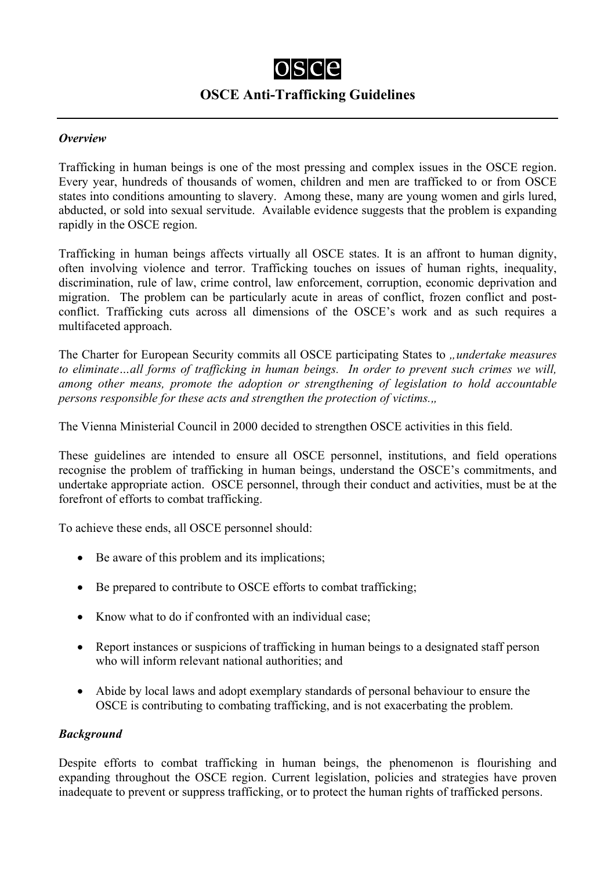## $OSC<sub>e</sub>$ **OSCE Anti-Trafficking Guidelines**

## *Overview*

Trafficking in human beings is one of the most pressing and complex issues in the OSCE region. Every year, hundreds of thousands of women, children and men are trafficked to or from OSCE states into conditions amounting to slavery. Among these, many are young women and girls lured, abducted, or sold into sexual servitude. Available evidence suggests that the problem is expanding rapidly in the OSCE region.

Trafficking in human beings affects virtually all OSCE states. It is an affront to human dignity, often involving violence and terror. Trafficking touches on issues of human rights, inequality, discrimination, rule of law, crime control, law enforcement, corruption, economic deprivation and migration. The problem can be particularly acute in areas of conflict, frozen conflict and postconflict. Trafficking cuts across all dimensions of the OSCE's work and as such requires a multifaceted approach.

The Charter for European Security commits all OSCE participating States to *"undertake measures to eliminate…all forms of trafficking in human beings. In order to prevent such crimes we will, among other means, promote the adoption or strengthening of legislation to hold accountable persons responsible for these acts and strengthen the protection of victims.,,* 

The Vienna Ministerial Council in 2000 decided to strengthen OSCE activities in this field.

These guidelines are intended to ensure all OSCE personnel, institutions, and field operations recognise the problem of trafficking in human beings, understand the OSCE's commitments, and undertake appropriate action. OSCE personnel, through their conduct and activities, must be at the forefront of efforts to combat trafficking.

To achieve these ends, all OSCE personnel should:

- Be aware of this problem and its implications;
- Be prepared to contribute to OSCE efforts to combat trafficking;
- Know what to do if confronted with an individual case:
- Report instances or suspicions of trafficking in human beings to a designated staff person who will inform relevant national authorities; and
- Abide by local laws and adopt exemplary standards of personal behaviour to ensure the OSCE is contributing to combating trafficking, and is not exacerbating the problem.

## *Background*

Despite efforts to combat trafficking in human beings, the phenomenon is flourishing and expanding throughout the OSCE region. Current legislation, policies and strategies have proven inadequate to prevent or suppress trafficking, or to protect the human rights of trafficked persons.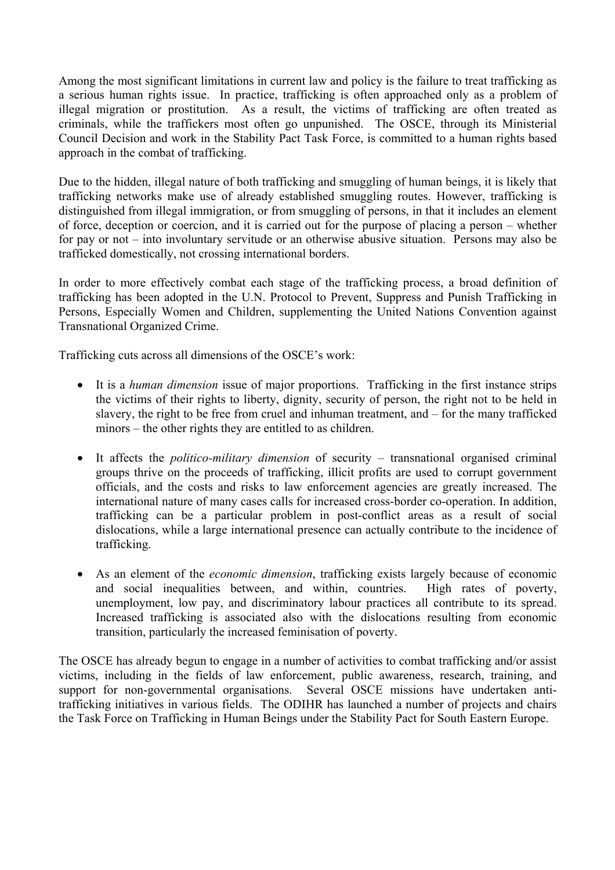Among the most significant limitations in current law and policy is the failure to treat trafficking as a serious human rights issue. In practice, trafficking is often approached only as a problem of illegal migration or prostitution. As a result, the victims of trafficking are often treated as criminals, while the traffickers most often go unpunished. The OSCE, through its Ministerial Council Decision and work in the Stability Pact Task Force, is committed to a human rights based approach in the combat of trafficking.

Due to the hidden, illegal nature of both trafficking and smuggling of human beings, it is likely that trafficking networks make use of already established smuggling routes. However, trafficking is distinguished from illegal immigration, or from smuggling of persons, in that it includes an element of force, deception or coercion, and it is carried out for the purpose of placing a person – whether for pay or not – into involuntary servitude or an otherwise abusive situation. Persons may also be trafficked domestically, not crossing international borders.

In order to more effectively combat each stage of the trafficking process, a broad definition of trafficking has been adopted in the U.N. Protocol to Prevent, Suppress and Punish Trafficking in Persons, Especially Women and Children, supplementing the United Nations Convention against Transnational Organized Crime.

Trafficking cuts across all dimensions of the OSCE's work:

- It is a *human dimension* issue of major proportions. Trafficking in the first instance strips the victims of their rights to liberty, dignity, security of person, the right not to be held in slavery, the right to be free from cruel and inhuman treatment, and – for the many trafficked minors – the other rights they are entitled to as children.
- It affects the *politico-military dimension* of security transnational organised criminal groups thrive on the proceeds of trafficking, illicit profits are used to corrupt government officials, and the costs and risks to law enforcement agencies are greatly increased. The international nature of many cases calls for increased cross-border co-operation. In addition, trafficking can be a particular problem in post-conflict areas as a result of social dislocations, while a large international presence can actually contribute to the incidence of trafficking.
- As an element of the *economic dimension*, trafficking exists largely because of economic and social inequalities between, and within, countries. High rates of poverty, unemployment, low pay, and discriminatory labour practices all contribute to its spread. Increased trafficking is associated also with the dislocations resulting from economic transition, particularly the increased feminisation of poverty.

The OSCE has already begun to engage in a number of activities to combat trafficking and/or assist victims, including in the fields of law enforcement, public awareness, research, training, and support for non-governmental organisations. Several OSCE missions have undertaken antitrafficking initiatives in various fields. The ODIHR has launched a number of projects and chairs the Task Force on Trafficking in Human Beings under the Stability Pact for South Eastern Europe.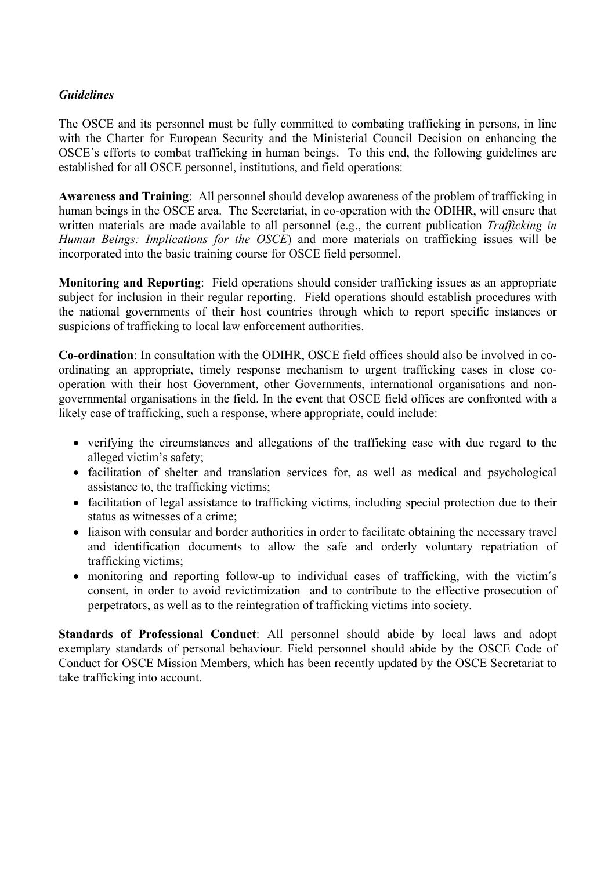## *Guidelines*

The OSCE and its personnel must be fully committed to combating trafficking in persons, in line with the Charter for European Security and the Ministerial Council Decision on enhancing the OSCE´s efforts to combat trafficking in human beings. To this end, the following guidelines are established for all OSCE personnel, institutions, and field operations:

**Awareness and Training**: All personnel should develop awareness of the problem of trafficking in human beings in the OSCE area. The Secretariat, in co-operation with the ODIHR, will ensure that written materials are made available to all personnel (e.g., the current publication *Trafficking in Human Beings: Implications for the OSCE*) and more materials on trafficking issues will be incorporated into the basic training course for OSCE field personnel.

**Monitoring and Reporting**: Field operations should consider trafficking issues as an appropriate subject for inclusion in their regular reporting. Field operations should establish procedures with the national governments of their host countries through which to report specific instances or suspicions of trafficking to local law enforcement authorities.

**Co-ordination**: In consultation with the ODIHR, OSCE field offices should also be involved in coordinating an appropriate, timely response mechanism to urgent trafficking cases in close cooperation with their host Government, other Governments, international organisations and nongovernmental organisations in the field. In the event that OSCE field offices are confronted with a likely case of trafficking, such a response, where appropriate, could include:

- verifying the circumstances and allegations of the trafficking case with due regard to the alleged victim's safety;
- facilitation of shelter and translation services for, as well as medical and psychological assistance to, the trafficking victims;
- facilitation of legal assistance to trafficking victims, including special protection due to their status as witnesses of a crime;
- liaison with consular and border authorities in order to facilitate obtaining the necessary travel and identification documents to allow the safe and orderly voluntary repatriation of trafficking victims;
- monitoring and reporting follow-up to individual cases of trafficking, with the victim's consent, in order to avoid revictimization and to contribute to the effective prosecution of perpetrators, as well as to the reintegration of trafficking victims into society.

**Standards of Professional Conduct**: All personnel should abide by local laws and adopt exemplary standards of personal behaviour. Field personnel should abide by the OSCE Code of Conduct for OSCE Mission Members, which has been recently updated by the OSCE Secretariat to take trafficking into account.